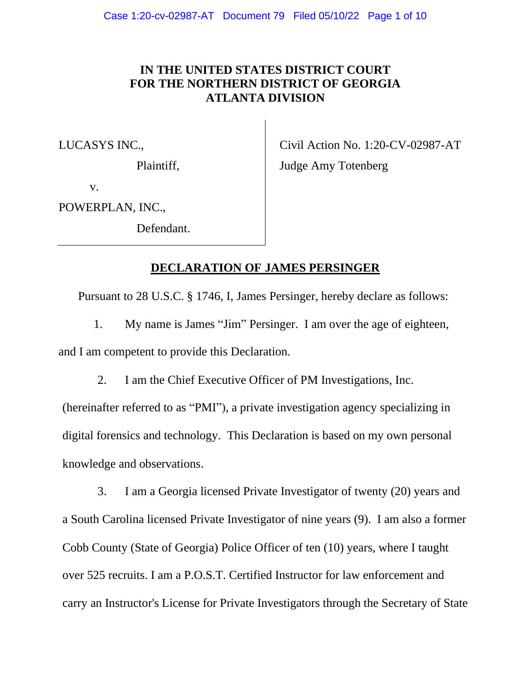# **IN THE UNITED STATES DISTRICT COURT FOR THE NORTHERN DISTRICT OF GEORGIA ATLANTA DIVISION**

LUCASYS INC.,

Plaintiff,

Civil Action No. 1:20-CV-02987-AT

Judge Amy Totenberg

v.

POWERPLAN, INC.,

Defendant.

## **DECLARATION OF JAMES PERSINGER**

Pursuant to 28 U.S.C. § 1746, I, James Persinger, hereby declare as follows:

1. My name is James "Jim" Persinger. I am over the age of eighteen, and I am competent to provide this Declaration.

2. I am the Chief Executive Officer of PM Investigations, Inc.

(hereinafter referred to as "PMI"), a private investigation agency specializing in digital forensics and technology. This Declaration is based on my own personal knowledge and observations.

3. I am a Georgia licensed Private Investigator of twenty (20) years and a South Carolina licensed Private Investigator of nine years (9). I am also a former Cobb County (State of Georgia) Police Officer of ten (10) years, where I taught over 525 recruits. I am a P.O.S.T. Certified Instructor for law enforcement and carry an Instructor's License for Private Investigators through the Secretary of State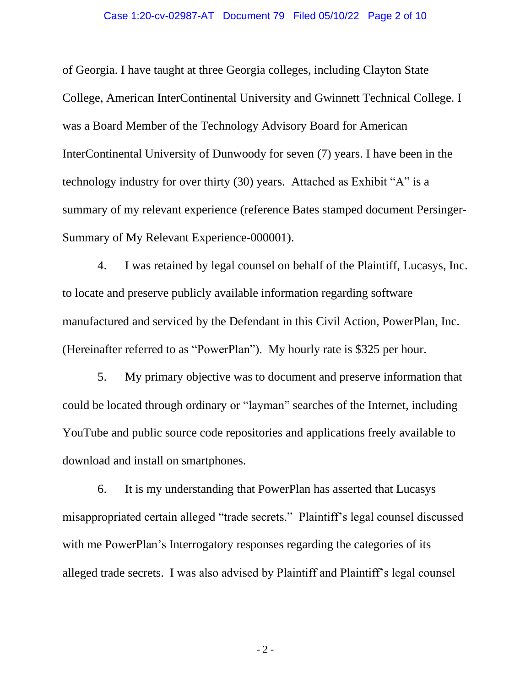#### Case 1:20-cv-02987-AT Document 79 Filed 05/10/22 Page 2 of 10

of Georgia. I have taught at three Georgia colleges, including Clayton State College, American InterContinental University and Gwinnett Technical College. I was a Board Member of the Technology Advisory Board for American InterContinental University of Dunwoody for seven (7) years. I have been in the technology industry for over thirty (30) years. Attached as Exhibit "A" is a summary of my relevant experience (reference Bates stamped document Persinger-Summary of My Relevant Experience-000001).

4. I was retained by legal counsel on behalf of the Plaintiff, Lucasys, Inc. to locate and preserve publicly available information regarding software manufactured and serviced by the Defendant in this Civil Action, PowerPlan, Inc. (Hereinafter referred to as "PowerPlan"). My hourly rate is \$325 per hour.

5. My primary objective was to document and preserve information that could be located through ordinary or "layman" searches of the Internet, including YouTube and public source code repositories and applications freely available to download and install on smartphones.

6. It is my understanding that PowerPlan has asserted that Lucasys misappropriated certain alleged "trade secrets." Plaintiff's legal counsel discussed with me PowerPlan's Interrogatory responses regarding the categories of its alleged trade secrets. I was also advised by Plaintiff and Plaintiff's legal counsel

- 2 -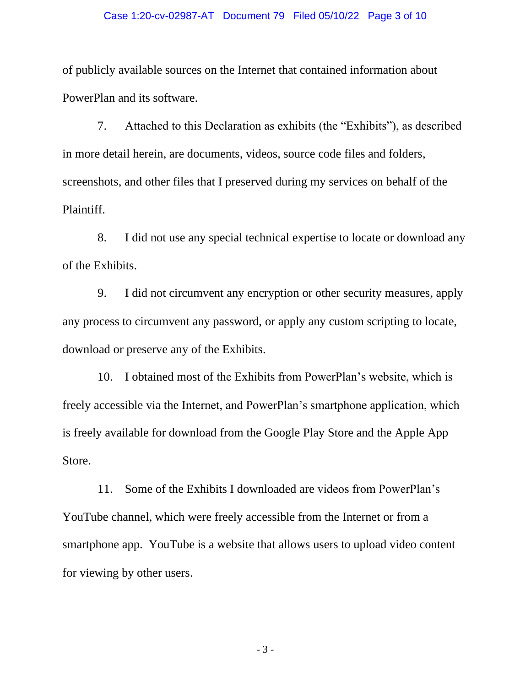#### Case 1:20-cv-02987-AT Document 79 Filed 05/10/22 Page 3 of 10

of publicly available sources on the Internet that contained information about PowerPlan and its software.

7. Attached to this Declaration as exhibits (the "Exhibits"), as described in more detail herein, are documents, videos, source code files and folders, screenshots, and other files that I preserved during my services on behalf of the Plaintiff.

8. I did not use any special technical expertise to locate or download any of the Exhibits.

9. I did not circumvent any encryption or other security measures, apply any process to circumvent any password, or apply any custom scripting to locate, download or preserve any of the Exhibits.

10. I obtained most of the Exhibits from PowerPlan's website, which is freely accessible via the Internet, and PowerPlan's smartphone application, which is freely available for download from the Google Play Store and the Apple App Store.

11. Some of the Exhibits I downloaded are videos from PowerPlan's YouTube channel, which were freely accessible from the Internet or from a smartphone app. YouTube is a website that allows users to upload video content for viewing by other users.

- 3 -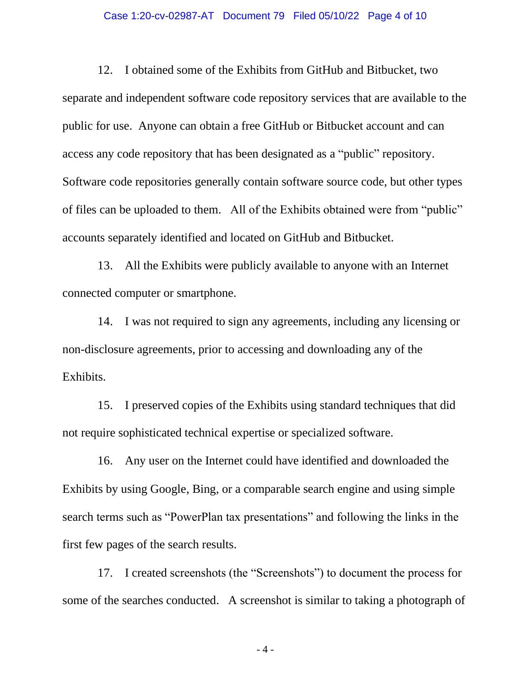#### Case 1:20-cv-02987-AT Document 79 Filed 05/10/22 Page 4 of 10

12. I obtained some of the Exhibits from GitHub and Bitbucket, two separate and independent software code repository services that are available to the public for use. Anyone can obtain a free GitHub or Bitbucket account and can access any code repository that has been designated as a "public" repository. Software code repositories generally contain software source code, but other types of files can be uploaded to them. All of the Exhibits obtained were from "public" accounts separately identified and located on GitHub and Bitbucket.

13. All the Exhibits were publicly available to anyone with an Internet connected computer or smartphone.

14. I was not required to sign any agreements, including any licensing or non-disclosure agreements, prior to accessing and downloading any of the Exhibits.

15. I preserved copies of the Exhibits using standard techniques that did not require sophisticated technical expertise or specialized software.

16. Any user on the Internet could have identified and downloaded the Exhibits by using Google, Bing, or a comparable search engine and using simple search terms such as "PowerPlan tax presentations" and following the links in the first few pages of the search results.

17. I created screenshots (the "Screenshots") to document the process for some of the searches conducted. A screenshot is similar to taking a photograph of

- 4 -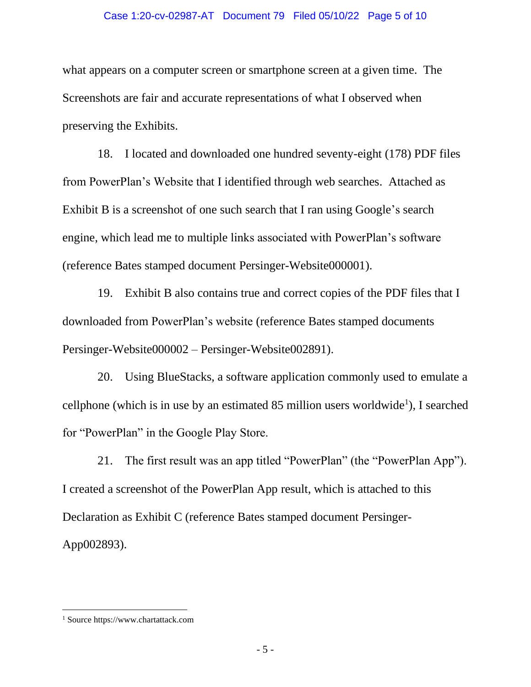### Case 1:20-cv-02987-AT Document 79 Filed 05/10/22 Page 5 of 10

what appears on a computer screen or smartphone screen at a given time. The Screenshots are fair and accurate representations of what I observed when preserving the Exhibits.

18. I located and downloaded one hundred seventy-eight (178) PDF files from PowerPlan's Website that I identified through web searches. Attached as Exhibit B is a screenshot of one such search that I ran using Google's search engine, which lead me to multiple links associated with PowerPlan's software (reference Bates stamped document Persinger-Website000001).

19. Exhibit B also contains true and correct copies of the PDF files that I downloaded from PowerPlan's website (reference Bates stamped documents Persinger-Website000002 – Persinger-Website002891).

20. Using BlueStacks, a software application commonly used to emulate a cellphone (which is in use by an estimated  $85$  million users worldwide<sup>1</sup>), I searched for "PowerPlan" in the Google Play Store.

21. The first result was an app titled "PowerPlan" (the "PowerPlan App"). I created a screenshot of the PowerPlan App result, which is attached to this Declaration as Exhibit C (reference Bates stamped document Persinger-App002893).

<sup>1</sup> Source https://www.chartattack.com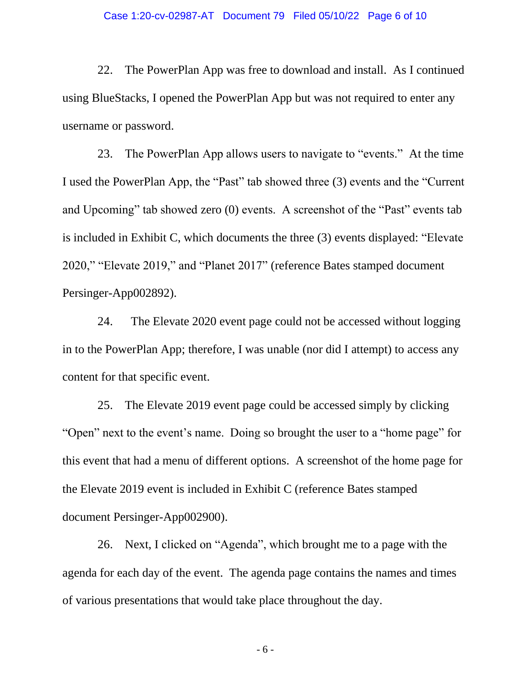#### Case 1:20-cv-02987-AT Document 79 Filed 05/10/22 Page 6 of 10

22. The PowerPlan App was free to download and install. As I continued using BlueStacks, I opened the PowerPlan App but was not required to enter any username or password.

23. The PowerPlan App allows users to navigate to "events." At the time I used the PowerPlan App, the "Past" tab showed three (3) events and the "Current and Upcoming" tab showed zero (0) events. A screenshot of the "Past" events tab is included in Exhibit C, which documents the three (3) events displayed: "Elevate 2020," "Elevate 2019," and "Planet 2017" (reference Bates stamped document Persinger-App002892).

24. The Elevate 2020 event page could not be accessed without logging in to the PowerPlan App; therefore, I was unable (nor did I attempt) to access any content for that specific event.

25. The Elevate 2019 event page could be accessed simply by clicking "Open" next to the event's name. Doing so brought the user to a "home page" for this event that had a menu of different options. A screenshot of the home page for the Elevate 2019 event is included in Exhibit C (reference Bates stamped document Persinger-App002900).

26. Next, I clicked on "Agenda", which brought me to a page with the agenda for each day of the event. The agenda page contains the names and times of various presentations that would take place throughout the day.

- 6 -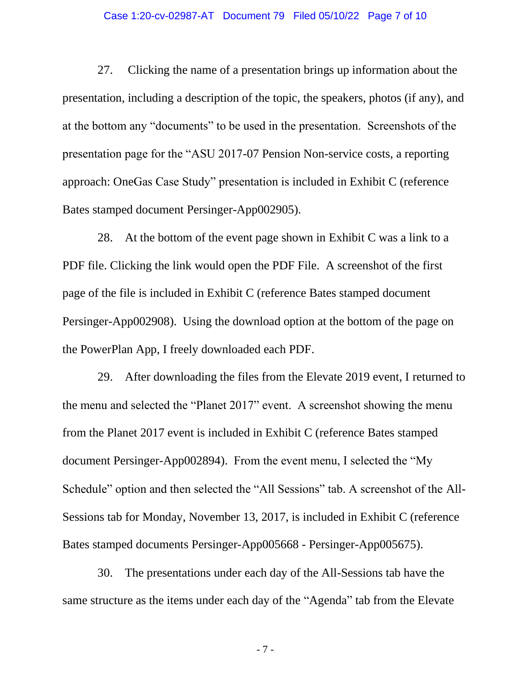#### Case 1:20-cv-02987-AT Document 79 Filed 05/10/22 Page 7 of 10

27. Clicking the name of a presentation brings up information about the presentation, including a description of the topic, the speakers, photos (if any), and at the bottom any "documents" to be used in the presentation. Screenshots of the presentation page for the "ASU 2017-07 Pension Non-service costs, a reporting approach: OneGas Case Study" presentation is included in Exhibit C (reference Bates stamped document Persinger-App002905).

28. At the bottom of the event page shown in Exhibit C was a link to a PDF file. Clicking the link would open the PDF File. A screenshot of the first page of the file is included in Exhibit C (reference Bates stamped document Persinger-App002908). Using the download option at the bottom of the page on the PowerPlan App, I freely downloaded each PDF.

29. After downloading the files from the Elevate 2019 event, I returned to the menu and selected the "Planet 2017" event. A screenshot showing the menu from the Planet 2017 event is included in Exhibit C (reference Bates stamped document Persinger-App002894). From the event menu, I selected the "My Schedule" option and then selected the "All Sessions" tab. A screenshot of the All-Sessions tab for Monday, November 13, 2017, is included in Exhibit C (reference Bates stamped documents Persinger-App005668 - Persinger-App005675).

30. The presentations under each day of the All-Sessions tab have the same structure as the items under each day of the "Agenda" tab from the Elevate

- 7 -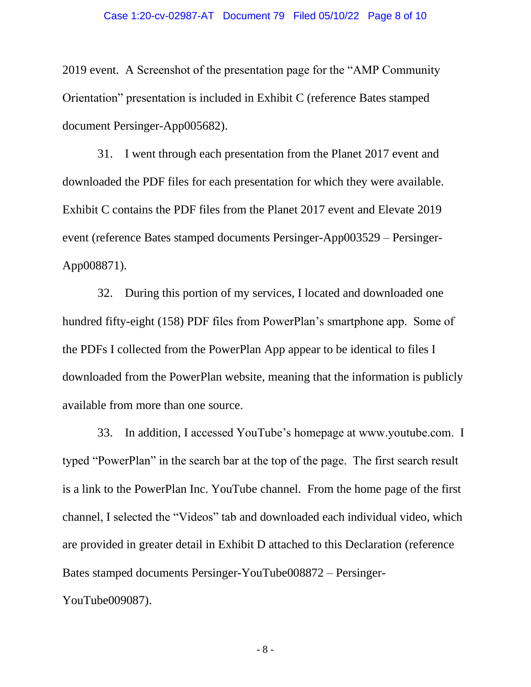2019 event. A Screenshot of the presentation page for the "AMP Community Orientation" presentation is included in Exhibit C (reference Bates stamped document Persinger-App005682).

31. I went through each presentation from the Planet 2017 event and downloaded the PDF files for each presentation for which they were available. Exhibit C contains the PDF files from the Planet 2017 event and Elevate 2019 event (reference Bates stamped documents Persinger-App003529 – Persinger-App008871).

32. During this portion of my services, I located and downloaded one hundred fifty-eight (158) PDF files from PowerPlan's smartphone app. Some of the PDFs I collected from the PowerPlan App appear to be identical to files I downloaded from the PowerPlan website, meaning that the information is publicly available from more than one source.

33. In addition, I accessed YouTube's homepage at www.youtube.com. I typed "PowerPlan" in the search bar at the top of the page. The first search result is a link to the PowerPlan Inc. YouTube channel. From the home page of the first channel, I selected the "Videos" tab and downloaded each individual video, which are provided in greater detail in Exhibit D attached to this Declaration (reference Bates stamped documents Persinger-YouTube008872 – Persinger-YouTube009087).

- 8 -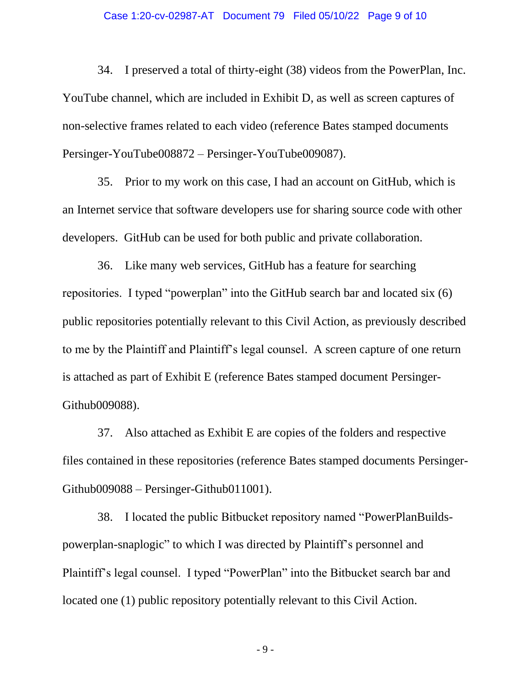#### Case 1:20-cv-02987-AT Document 79 Filed 05/10/22 Page 9 of 10

34. I preserved a total of thirty-eight (38) videos from the PowerPlan, Inc. YouTube channel, which are included in Exhibit D, as well as screen captures of non-selective frames related to each video (reference Bates stamped documents Persinger-YouTube008872 – Persinger-YouTube009087).

35. Prior to my work on this case, I had an account on GitHub, which is an Internet service that software developers use for sharing source code with other developers. GitHub can be used for both public and private collaboration.

36. Like many web services, GitHub has a feature for searching repositories. I typed "powerplan" into the GitHub search bar and located six (6) public repositories potentially relevant to this Civil Action, as previously described to me by the Plaintiff and Plaintiff's legal counsel. A screen capture of one return is attached as part of Exhibit E (reference Bates stamped document Persinger-Github009088).

37. Also attached as Exhibit E are copies of the folders and respective files contained in these repositories (reference Bates stamped documents Persinger-Github009088 – Persinger-Github011001).

38. I located the public Bitbucket repository named "PowerPlanBuildspowerplan-snaplogic" to which I was directed by Plaintiff's personnel and Plaintiff's legal counsel. I typed "PowerPlan" into the Bitbucket search bar and located one (1) public repository potentially relevant to this Civil Action.

- 9 -